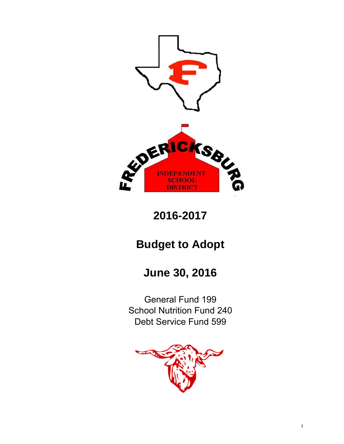

**2016-2017**

# **Budget to Adopt**

# **June 30, 2016**

Debt Service Fund 599 General Fund 199 School Nutrition Fund 240

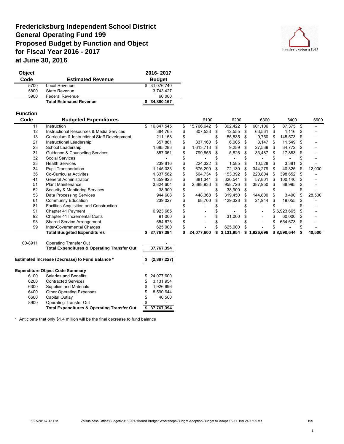## **Fredericksburg Independent School District General Operating Fund 199 Proposed Budget by Function and Object for Fiscal Year 2016 - 2017 at June 30, 2016**



| Object |                                | 2016-2017     |
|--------|--------------------------------|---------------|
| Code   | <b>Estimated Revenue</b>       | <b>Budget</b> |
| 5700   | Local Revenue                  | \$ 31,076,740 |
| 5800   | State Revenue                  | 3,743,427     |
| 5900   | <b>Federal Revenue</b>         | 60,000        |
|        | <b>Total Estimated Revenue</b> | \$34,880,167  |

### **Function**

| Code            | <b>Budgeted Expenditures</b>                           |                  | 6100                |      |              | 6200 |             | 6300 |             | 6400 |        |  | 6600 |  |
|-----------------|--------------------------------------------------------|------------------|---------------------|------|--------------|------|-------------|------|-------------|------|--------|--|------|--|
| $\overline{11}$ | Instruction                                            | 16,847,545<br>\$ | \$<br>15,766,642 \$ |      | $392,422$ \$ |      | 601,106 \$  |      | 87,375      | \$   |        |  |      |  |
| 12              | <b>Instructional Resources &amp; Media Services</b>    | 384,765          | \$<br>307,533 \$    |      | 12,555       | - \$ | 63,561      | - \$ | 1,116       | S    |        |  |      |  |
| 13              | Curriculum & Instructional Staff Development           | 211,158          | \$                  |      | 55,835       | -\$  | 9,750       | - \$ | 145,573     | \$   |        |  |      |  |
| 21              | Instructional Leadership                               | 357,861          | \$<br>337,160       | - \$ | 6,005        | - \$ | $3,147$ \$  |      | 11,549      | S    |        |  |      |  |
| 23              | School Leadership                                      | 1,685,283        | \$<br>1,613,713     | - \$ | 9,259        | -S   | 27,539      | - \$ | 34,772      | S    |        |  |      |  |
| 31              | <b>Guidance &amp; Counseling Services</b>              | 857,051          | 799,855 \$          |      | 5,826        | -SS  | 33,487      | - \$ | 17,883      |      |        |  |      |  |
| 32              | Social Services                                        |                  |                     |      |              |      |             |      |             |      |        |  |      |  |
| 33              | <b>Health Services</b>                                 | 239,816          | \$<br>224,322       | - \$ | 1,585        |      | 10,528      | - \$ | 3,381       | \$   |        |  |      |  |
| 34              | <b>Pupil Transportation</b>                            | 1,145,033        | \$<br>676,299 \$    |      | 72,130       |      | 344,279     | - \$ | 40,325      | S.   | 12,000 |  |      |  |
| 36              | <b>Co-Curricular Activites</b>                         | 1,337,582        | \$<br>564,734 \$    |      | 153,392      | - \$ | 220,804 \$  |      | 398,652     | S    |        |  |      |  |
| 41              | <b>General Administration</b>                          | 1,359,823        | \$<br>881,341       | - \$ | 320,541      | -S   | 57,801      | - \$ | 100,140     | S    |        |  |      |  |
| 51              | <b>Plant Maintenance</b>                               | 3,824,604        | \$<br>2,388,933     | - \$ | 958,726      |      | 387,950     | - \$ | 88,995      | S    |        |  |      |  |
| 52              | <b>Security &amp; Monitoring Services</b>              | 38,900           | \$                  |      | 38,900       | - \$ |             |      |             |      |        |  |      |  |
| 53              | Data Processing Services                               | 944,608          | 448,368 \$          |      | 319,450      | - \$ | 144,800     | - \$ | 3,490       | S    | 28,500 |  |      |  |
| 61              | <b>Community Education</b>                             | 239,027          | 68,700              | S    | 129,328      | \$.  | 21,944      | S    | 19,055      |      |        |  |      |  |
| 81              | Facilties Acquisition and Construction                 |                  |                     |      |              |      |             |      |             |      |        |  |      |  |
| 91              | Chapter 41 Payment                                     | 6,923,665        |                     |      |              |      |             |      | \$6,923,665 |      |        |  |      |  |
| 92              | Chapter 41 Incremental Costs                           | 91,000           |                     |      | 31,000       |      |             |      | 60,000      |      |        |  |      |  |
| 93              | <b>Shared Service Arrangement</b>                      | 654,673          |                     |      |              |      |             |      | 654,673     | S    |        |  |      |  |
| 99              | Inter-Governmental Charges                             | 625,000          | \$                  |      | 625,000      |      |             |      |             |      |        |  |      |  |
|                 | <b>Total Budgeted Expenditures</b>                     | \$37,767,394     | \$<br>24,077,600    | \$   | 3,131,954    |      | \$1,926,696 |      | \$8,590,644 | \$   | 40,500 |  |      |  |
| 00-8911         | <b>Operating Transfer Out</b>                          |                  |                     |      |              |      |             |      |             |      |        |  |      |  |
|                 | <b>Total Expenditures &amp; Operating Transfer Out</b> | 37,767,394       |                     |      |              |      |             |      |             |      |        |  |      |  |
|                 | <b>Estimated Increase (Decrease) to Fund Balance *</b> | (2,887,227)      |                     |      |              |      |             |      |             |      |        |  |      |  |

#### **Expenditure Object Code Summary**

|      | <b>Total Expenditures &amp; Operating Transfer Out</b> |   | 37,767,394    |
|------|--------------------------------------------------------|---|---------------|
| 8900 | <b>Operating Transfer Out</b>                          | S |               |
| 6600 | Capital Outlay                                         | S | 40.500        |
| 6400 | <b>Other Operating Expenses</b>                        |   | 8,590,644     |
| 6300 | Supplies and Materials                                 |   | 1,926,696     |
| 6200 | <b>Contracted Services</b>                             | S | 3,131,954     |
| 6100 | Salaries and Benefits                                  |   | \$ 24,077,600 |
|      |                                                        |   |               |

\* Anticipate that only \$1.4 million will be the final decrease to fund balance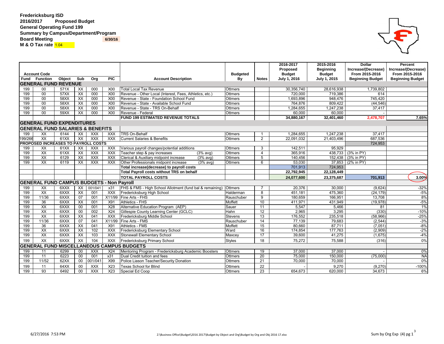### **Fredericksburg ISD 2016/2017 Proposed Budget General Operating Fund 199 Summary by Campus/Department/Program Board Meeting M & O Tax rate 1.04**

|         |                                                  |        |                          |                  |                  |                                                          |                 |                 | 2016-2017<br>Proposed | 2015-2016<br><b>Beginning</b> | <b>Dollar</b><br>Increase/(Decrease) | <b>Percent</b><br>Increase/(Decrease) |
|---------|--------------------------------------------------|--------|--------------------------|------------------|------------------|----------------------------------------------------------|-----------------|-----------------|-----------------------|-------------------------------|--------------------------------------|---------------------------------------|
|         | <b>Account Code</b>                              |        |                          |                  |                  |                                                          | <b>Budgeted</b> |                 | <b>Budget</b>         | <b>Budget</b>                 | From 2015-2016                       | From 2015-2016                        |
|         | <b>Fund Function</b>                             | Object | Sub                      | Org              | <b>PIC</b>       | <b>Account Description</b>                               | By              | <b>Notes</b>    | <b>July 1, 2016</b>   | July 1, 2015                  | <b>Beginning Budget</b>              | <b>Beginning Budget</b>               |
|         | <b>GENERAL FUND REVENUE</b>                      |        |                          |                  |                  |                                                          |                 |                 |                       |                               |                                      |                                       |
| 199     | 00                                               | 571X   | XX                       | 000              | <b>X00</b>       | <b>Total Local Tax Revenue</b>                           | <b>Ottmers</b>  |                 | 30,356,740            | 28,616,938                    | 1,739,802                            |                                       |
| 199     | 00                                               | 57XX   | $\overline{XX}$          | 000              | X00              | Revenue - Other Local (Interest, Fees, Athletics, etc.)  | <b>Ottmers</b>  |                 | 720,000               | 719,386                       | 614                                  |                                       |
| 199     | 00                                               | 58XX   | $\overline{XX}$          | 000              | X00              | Revenue - State - Foundation School Fund                 | <b>Ottmers</b>  |                 | 1,693,896             | 948,476                       | 745,420                              |                                       |
| 199     | 00                                               | 58XX   | $\overline{XX}$          | 000              | X00              | Revenue - State - Available School Fund                  | <b>Ottmers</b>  |                 | 764,876               | 809,422                       | (44, 546)                            |                                       |
| 199     | 00                                               | 58XX   | XX                       | 000              | X00              | Revenue - State - TRS On-Behalf                          | <b>Ottmers</b>  |                 | 1,284,655             | 1,247,238                     | 37,417                               |                                       |
| 199     | 00                                               | 59XX   | XX                       | 000              | <b>X00</b>       | Revenue - Federal                                        | <b>Ottmers</b>  |                 | 60,000                | 60,000                        |                                      |                                       |
|         |                                                  |        |                          |                  |                  | <b>FUND 199 ESTIMATED REVENUE TOTALS</b>                 |                 |                 | 34,880,167            | 32,401,460                    | 2,478,707                            | 7.65%                                 |
|         | <b>GENERAL FUND EXPENDITURES</b>                 |        |                          |                  |                  |                                                          |                 |                 |                       |                               |                                      |                                       |
|         | <b>IGENERAL FUND SALARIES &amp; BENEFITS</b>     |        |                          |                  |                  |                                                          |                 |                 |                       |                               |                                      |                                       |
| 199     | $\overline{XX}$                                  | 6144   | XX                       | <b>XXX</b>       | XXX              | <b>TRS On-Behalf</b>                                     | <b>Ottmers</b>  |                 | 1,284,655             | 1,247,238                     | 37,417                               |                                       |
| 199/266 | $\overline{XX}$                                  | 61XX   | $\overline{XX}$          | XXX              | <b>XXX</b>       | <b>Current Salaries &amp; Benefits</b>                   | <b>Ottmers</b>  | $\overline{2}$  | 22,091,032            | 21,403,496                    | 687,536                              |                                       |
|         | <b>PROPOSED INCREASES TO PAYROLL COSTS</b>       |        |                          |                  |                  |                                                          |                 |                 |                       |                               | 724,953                              |                                       |
| 199     | $\overline{XX}$                                  | 61XX   | $\overline{XX}$          | XXX              | <b>XXX</b>       | Various payroll changes/potential additions              | <b>Ottmers</b>  | 3               | 142,511               | 95,929                        |                                      |                                       |
| 199     | $\overline{XX}$                                  | 61XX   | $\overline{XX}$          | $\overline{XXX}$ | <b>XXX</b>       | Teacher step & pay increases<br>$(3%$ avg)               | <b>Ottmers</b>  | 4               | 365,916               |                               | 438,733 (3% in PY)                   |                                       |
| 199     | $\overline{XX}$                                  | 6129   | $\overline{XX}$          | $\overline{XXX}$ | <b>XXX</b>       | Clerical & Auxiliary midpoint increase<br>$(3%$ avg)     | Ottmers         | 5               | 140,456               |                               | 152,438 (3% in PY)                   |                                       |
| 199     | $\overline{XX}$                                  | 6119   | $\overline{\mathsf{xx}}$ | XXX              | <b>XXX</b>       | Other Professionals midpoint increase<br>$(3%$ avg)      | <b>Ottmers</b>  | 6               | 53,030                |                               | 37,853 (2% in PY)                    |                                       |
|         |                                                  |        |                          |                  |                  | Total increase(decrease) to payroll costs                |                 |                 | 701,913               | 724,953                       |                                      |                                       |
|         |                                                  |        |                          |                  |                  | <b>Total Payroll costs without TRS on behalf</b>         |                 |                 | 22,792,945            | 22,128,449                    |                                      |                                       |
|         |                                                  |        |                          |                  |                  | <b>TOTAL PAYROLL COSTS</b>                               |                 |                 | 24,077,600            | 23,375,687                    | 701,913                              | $3.00\%$                              |
|         | <b>GENERAL FUND CAMPUS BUDGETS - Non Payroll</b> |        |                          |                  |                  |                                                          |                 |                 |                       |                               |                                      |                                       |
| 199     | $\overline{XX}$                                  | 6XXX   | $\overline{\mathsf{X}}$  | 001/041          | x31              | FHS & FMS - High School Allotment (fund bal & remaining) | <b>Ottmers</b>  |                 | 20,376                | 30,000                        | (9,624)                              | $-32%$                                |
| 199     | $\overline{XX}$                                  | 6XXX   | $\overline{XX}$          | 001              | XXX              | Fredericksburg High School                               | Halderman       | 8               | 451,181               | 475,360                       | (24, 179)                            | $-5%$                                 |
| 199     | 11/36                                            | 6XXX   | 07                       | 001              | X11/99           | <b>Fine Arts - FHS</b>                                   | Rauschuber      | 9               | 180,659               | 166,951                       | 13,708                               | 8%                                    |
| 199     | $\overline{36}$                                  | 6XXX   | $\overline{XX}$          | 001              | X91              | <b>Athletics - FHS</b>                                   | Moffett         | 10              | 411,971               | 431,949                       | (19, 978)                            | $-5%$                                 |
| 199     | $\overline{XX}$                                  | 6XXX   | $\overline{00}$          | 001              | X28              | Alternative Education Program (AEP)                      | Sauer           | 11              | 5,547                 | 5,466                         | 81                                   | 1%                                    |
| 199     | $\overline{XX}$                                  | 6XXX   | $\overline{00}$          | 002              | X24              | Gillespie County Learning Center (GCLC)                  | Hahn            | 12              | 2,965                 | 3,295                         | (330)                                | $-10%$                                |
| 199     | $\overline{XX}$                                  | 6XXX   | $\overline{XX}$          | 041              | $\overline{XXX}$ | Fredericksburg Middle School                             | <b>Stevens</b>  | 13              | 176,552               | 235,518                       | (58,966)                             | $-25%$                                |
| 199     | 11/36                                            | 6XXX   | 07                       | 041              | X11/99           | <b>Fine Arts - FMS</b>                                   | Rauschuber      | 14              | 77,139                | 79,683                        | (2, 544)                             | $-3%$                                 |
| 199     | $\overline{36}$                                  | 6XXX   | XX                       | 041              | X91              | <b>Athletics - FMS</b>                                   | Moffett         | 15              | 80,660                | 87,711                        | (7,051)                              | $-8%$                                 |
| 199     | $\overline{XX}$                                  | 6XXX   | $\overline{XX}$          | 102              | XXX              | Fredericksburg Elementary School                         | Ward            | 16              | 174,854               | 177,763                       | (2,909)                              | $-2%$                                 |
| 199     | $\overline{XX}$                                  | 6XXX   | $\overline{XX}$          | 103              | <b>XXX</b>       | Stonewall Elementary School                              | Maxcey          | $\overline{17}$ | 39,600                | 41,275                        | (1,675)                              | $-4%$                                 |
| 199     | XX                                               | 6XXX   | XX                       | 104              | XXX              | <b>Fredericksburg Primary School</b>                     | <b>Styles</b>   | 18              | 75,272                | 75,588                        | (316)                                | 0%                                    |
|         |                                                  |        |                          |                  |                  | <b>GENERAL FUND MISCELLANEOUS CAMPUS BUDGETS</b>         |                 |                 |                       |                               |                                      |                                       |
| 199     | $\overline{11}$                                  | 6299   | 00                       | XXX              | X24              | Mentoring Program - Fredericksburg Academic Boosters     | <b>Ottmers</b>  | 19              | 37,000                | 37,000                        |                                      | $0\%$                                 |
| 199     | $\overline{11}$                                  | 6223   | 00                       | 001              | x31              | Dual Credit tuition and fees                             | <b>Ottmers</b>  | 20              | 75,000                | 150,000                       | (75,000)                             | <b>NA</b>                             |
| 199     | 11/52                                            | 62XX   | 00                       | 001/041          | X99              | Police Liason Teacher/Security Donation                  | Ottmers         | 21              | 70,000                | 70,000                        |                                      | 0%                                    |
| 199     | 11                                               | 64XX   | 00                       | <b>XXX</b>       | X23              | <b>Texas School for Blind</b>                            | Ottmers         | 22              |                       | 9,270                         | (9,270)                              | $-100%$                               |
| 199     | 93                                               | 6492   | 00                       | <b>XXX</b>       | X23              | Special Ed Coop                                          | Ottmers         | $\overline{23}$ | 654,673               | 620,000                       | 34,673                               | 6%                                    |

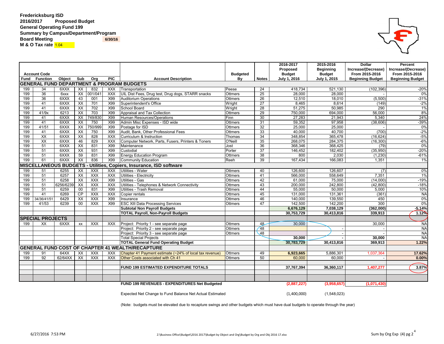**Fredericksburg ISD 2016/2017 Proposed Budget General Operating Fund 199 Summary by Campus/Department/Program Board Meeting**  6/30/16 **M & O Tax rate 1.04** 

|     |                              |               |                          |            |            |                                                          |                 |                 | 2016-2017           | 2015-2016           | <b>Dollar</b>           | <b>Percent</b>          |
|-----|------------------------------|---------------|--------------------------|------------|------------|----------------------------------------------------------|-----------------|-----------------|---------------------|---------------------|-------------------------|-------------------------|
|     |                              |               |                          |            |            |                                                          |                 |                 | <b>Proposed</b>     | <b>Beginning</b>    | Increase/(Decrease)     | Increase/(Decrease)     |
|     | <b>Account Code</b>          |               |                          |            |            |                                                          | <b>Budgeted</b> |                 | <b>Budget</b>       | <b>Budget</b>       | From 2015-2016          | From 2015-2016          |
|     | <b>Fund Function</b>         | <b>Object</b> | Sub                      | Org        | <b>PIC</b> | <b>Account Description</b>                               | By              | <b>Notes</b>    | <b>July 1, 2016</b> | <b>July 1, 2015</b> | <b>Beginning Budget</b> | <b>Beginning Budget</b> |
|     |                              |               |                          |            |            | <b>GENERAL FUND DEPARTMENT &amp; PROGRAM BUDGETS</b>     |                 |                 |                     |                     |                         |                         |
| 199 | 34                           | 6XXX          | XX                       | 832        | <b>XXX</b> | Transportation                                           | Peese           | 24              | 418,734             | 521,130             | (102, 396)              | $-20%$                  |
| 199 | 36                           | 6xxx          | $\overline{XX}$          | 001/041    | <b>XXX</b> | UIL Dist Fees, Drug test, Drug dogs, STARR snacks        | <b>Ottmers</b>  | 25              | 28,000              | 28,000              |                         | 0%                      |
| 199 | 36                           | 6XXX          | 43                       | 001        | X99        | <b>Auditorium Operations</b>                             | Ottmers         | 26              | 12,510              | 18,010              | (5,500)                 | $-31%$                  |
| 199 | 41                           | 6XXX          | $\overline{XX}$          | 701        | X99        | Superintendent's Office                                  | Wright          | $\overline{27}$ | 8,465               | 8,614               | (149)                   | $-2%$                   |
| 199 | 41                           | 6XXX          | $\overline{XX}$          | 702        | X99        | School Board                                             | Wright          | 28              | 51,275              | 50,985              | 290                     | $1\%$                   |
| 199 | 41/9x                        | 6213          | $\overline{XX}$          | 703        | X99        | Appraisal and Tax Collection                             | Ottmers         | 29              | 750,000             | 694,000             | 56,000                  | 8%                      |
| 199 | 41                           | 6XXX          | $\overline{XX}$          | 749/830    | X99        | Human Resources/Operations                               | Finn            | 30              | 27,283              | 21,943              | 5,340                   | 24%                     |
| 199 | 41                           | 6XXX          | $\overline{XX}$          | 750        | X99        | Admin Misc Expenses - ISD wide                           | Ottmers         | 31              | 59,352              | 97,958              | (38, 606)               | $-39%$                  |
| 199 | 41/51                        | 6XXX          | $\overline{XX}$          | 750/999    | X99        | Postage for ISD                                          | Ottmers         | 32              | 25,000              | 25,000              |                         | $0\%$                   |
| 199 | 41                           | 6XXX          | $\overline{XX}$          | 750        | X99        | Audit, Bank, Other Professional Fees                     | Ottmers         | 33              | 40,000              | 40,700              | (700)                   | $-2%$                   |
| 199 | $\overline{XX}$              | 6XXX          | $\overline{XX}$          | 828        | <b>XXX</b> | Curriculum & Instruction                                 | Thomas          | 34              | 348,854             | 365,478             | (16, 624)               | $-5%$                   |
| 199 | $\overline{XX}$              | 6XXX          | 46                       | 829        | <b>XXX</b> | Computer Network, Parts, Fusers, Printers & Toners       | O'Neill         | 35              | 268,075             | 284,375             | (16, 300)               | $-6%$                   |
| 199 | 51                           | 6XXX          | $\overline{XX}$          | 831        | X99        | Maintenance                                              | Jost            | 36              | 368,346             | 368,425             | (79)                    | $0\%$                   |
| 199 | 51                           | 6XXX          | $\overline{XX}$          | 931        | X99        | Custodial                                                | Porter          | 37              | 146,452             | 182,402             | (35,950)                | $-20%$                  |
| 199 | 51                           | 6XXX          | 59                       | 831        | X99        | <b>Energy Education Program</b>                          | Ottmers         | 38              | 800                 | 2,030               | (1, 230)                | $-61%$                  |
| 199 | 61                           | 6XXX          | $\overline{XX}$          | 836        | X99        | <b>Community Education</b>                               | Reeh            | 39              | 167,434             | 166,083             | 1,351                   | $1\%$                   |
|     | <b>MISCELLANEOUS BUDGETS</b> |               |                          |            |            | Utilities, Copiers, Insurance, ISD software              |                 |                 |                     |                     |                         |                         |
| 199 | 51                           | 6255          | XX                       | <b>XXX</b> | <b>XXX</b> | Utilities - Water                                        | Ottmers         | 40              | 126,600             | 126,607             | (7)                     | $0\%$                   |
| 199 | 51                           | 6257          | $\overline{XX}$          | <b>XXX</b> | <b>XXX</b> | Utilities - Electricity                                  | <b>Ottmers</b>  | 41              | 566,000             | 558,649             | 7,351                   | $1\%$                   |
| 199 | $\overline{51}$              | 6258          | $\overline{XX}$          | <b>XXX</b> | X99        | Utilities - Gas                                          | <b>Ottmers</b>  | 42              | 61,000              | 75,000              | (14,000)                | $-19%$                  |
| 199 | 51                           | 6256/6239     | $\overline{\mathsf{xx}}$ | XXX        | <b>XXX</b> | Utilities - Telephones & Network Connectivity            | <b>Ottmers</b>  | 43              | 200,000             | 242,800             | (42, 800)               | $-18%$                  |
| 199 | 51                           | 6259          | $00\,$                   | 831        | X99        | Utilities - Trash Removal                                | <b>Ottmers</b>  | 44              | 55,000              | 50,000              | 5,000                   | 10%                     |
| 199 | 41                           | 6269          | $\overline{CP}$          | XXX        | <b>XXX</b> | Copier rentals                                           | <b>Ottmers</b>  | 45              | 131,000             | 131,361             | (361)                   | <b>NA</b>               |
| 199 | 34/36/41/51                  | 6429          | XX                       | <b>XXX</b> | X99        | Insurance                                                | <b>Ottmers</b>  | 46              | 140,000             | 139,550             | 450                     | 0%                      |
| 199 | 41/53                        | 6239          | 00                       | <b>XXX</b> | X99        | <b>ESC XIII Data Processing Services</b>                 | <b>Ottmers</b>  | 47              | 142,500             | 142,200             | 300                     | 0%                      |
|     |                              |               |                          |            |            | <b>Subtotal Non Payroll Budgets</b>                      |                 |                 | 6,676,129           | 7,038,129           | (362,000)               | $-5.14%$                |
|     |                              |               |                          |            |            | <b>TOTAL Payroll, Non-Payroll Budgets</b>                |                 |                 | 30,753,729          | 30,413,816          | 339,913                 | 1.12%                   |
|     | <b>SPECIAL PROJECTS</b>      |               |                          |            |            |                                                          |                 |                 |                     |                     |                         |                         |
| 199 | XX                           | 6XXX          | XX                       | <b>XXX</b> | <b>XXX</b> | Project: Priority 1 - see separate page                  | Ottmers         | 48              | 30,000              |                     | 30,000                  | <b>NA</b>               |
|     |                              |               |                          |            |            | Project: Priority 2 - see separate page                  | <b>Ottmers</b>  | $\sqrt{48}$     |                     |                     |                         | <b>NA</b>               |
|     |                              |               |                          |            |            | Project: Priority 3 - see separate page                  | <b>Ottmers</b>  | $\sqrt{48}$     |                     |                     |                         | <b>NA</b>               |
|     |                              |               |                          |            |            | <b>Total Special Projects</b>                            |                 |                 | 30,000              |                     | 30,000                  | <b>NA</b>               |
|     |                              |               |                          |            |            | <b>TOTAL General Fund Operating Budget</b>               |                 |                 | 30,783,729          | 30,413,816          | 369,913                 | 1.22%                   |
|     |                              |               |                          |            |            | <b>GENERAL FUND COST OF CHAPTER 41 WEALTH/RECAPTURE</b>  |                 |                 |                     |                     |                         |                         |
|     |                              |               |                          |            |            |                                                          |                 |                 |                     |                     |                         |                         |
| 199 | 91                           | 64XX          | XX                       | <b>XXX</b> | XXX        | Chapter 41 Payment estimate (~24% of local tax revenue)  | <b>Ottmers</b>  | 49              | 6,923,665           | 5,886,301           | 1,037,364               | 17.62%                  |
| 199 | 92                           | 62/64XX       | XX                       | <b>XXX</b> | XXX        | Other Costs associated with Ch 41                        | Ottmers         | 50              | 60,000              | 60,000              |                         | 0.00%                   |
|     |                              |               |                          |            |            | <b>FUND 199 ESTIMATED EXPENDITURE TOTALS</b>             |                 |                 |                     |                     |                         | 3.87%                   |
|     |                              |               |                          |            |            |                                                          |                 |                 | 37,767,394          | 36,360,117          | 1,407,277               |                         |
|     |                              |               |                          |            |            |                                                          |                 |                 |                     |                     |                         |                         |
|     |                              |               |                          |            |            |                                                          |                 |                 |                     |                     |                         |                         |
|     |                              |               |                          |            |            | FUND 199 REVENUES - EXPENDITURES Net Budgeted            |                 |                 | (2,887,227)         | (3,958,657)         | (1,071,430)             |                         |
|     |                              |               |                          |            |            |                                                          |                 |                 |                     |                     |                         |                         |
|     |                              |               |                          |            |            | Expected Net Change to Fund Balance Net Actual Estimated |                 |                 | (1,400,000)         | (1,548,023)         |                         |                         |

(Note: budgets must be elevated due to recapture swings and other budgets which must have dual budgets to operate through the year)

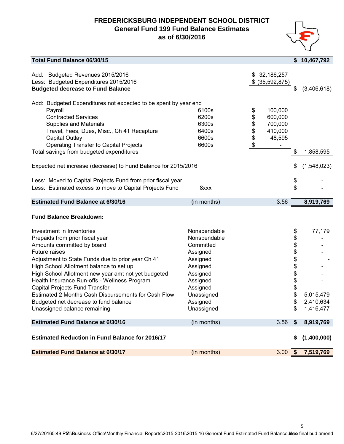#### **FREDERICKSBURG INDEPENDENT SCHOOL DISTRICT General Fund 199 Fund Balance Estimates as of 6/30/2016**



5

| <b>Total Fund Balance 06/30/15</b>                                                                                                                                                                                                                                                                                                                                                                                                                                                          |                                                                                                                                                           |                                                                                        | \$                                                             | 10,467,792                                    |
|---------------------------------------------------------------------------------------------------------------------------------------------------------------------------------------------------------------------------------------------------------------------------------------------------------------------------------------------------------------------------------------------------------------------------------------------------------------------------------------------|-----------------------------------------------------------------------------------------------------------------------------------------------------------|----------------------------------------------------------------------------------------|----------------------------------------------------------------|-----------------------------------------------|
| Add: Budgeted Revenues 2015/2016<br>Less: Budgeted Expenditures 2015/2016<br><b>Budgeted decrease to Fund Balance</b>                                                                                                                                                                                                                                                                                                                                                                       |                                                                                                                                                           | 32,186,257<br>S.<br>$$$ (35,592,875)                                                   | \$                                                             | (3,406,618)                                   |
| Add: Budgeted Expenditures not expected to be spent by year end<br>Payroll<br><b>Contracted Services</b><br><b>Supplies and Materials</b><br>Travel, Fees, Dues, Misc., Ch 41 Recapture<br>Capital Outlay<br><b>Operating Transfer to Capital Projects</b><br>Total savings from budgeted expenditures<br>Expected net increase (decrease) to Fund Balance for 2015/2016                                                                                                                    | 6100s<br>6200s<br>6300s<br>6400s<br>6600s<br>6600s                                                                                                        | 100,000<br>\$<br>600,000<br>\$<br>\$<br>700,000<br>\$<br>410,000<br>\$<br>48,595<br>\$ | \$<br>\$                                                       | 1,858,595<br>(1,548,023)                      |
| Less: Moved to Capital Projects Fund from prior fiscal year<br>Less: Estimated excess to move to Capital Projects Fund                                                                                                                                                                                                                                                                                                                                                                      | 8xxx                                                                                                                                                      |                                                                                        | \$<br>\$                                                       |                                               |
| <b>Estimated Fund Balance at 6/30/16</b>                                                                                                                                                                                                                                                                                                                                                                                                                                                    | (in months)                                                                                                                                               | 3.56                                                                                   |                                                                | 8,919,769                                     |
| <b>Fund Balance Breakdown:</b>                                                                                                                                                                                                                                                                                                                                                                                                                                                              |                                                                                                                                                           |                                                                                        |                                                                |                                               |
| Investment in Inventories<br>Prepaids from prior fiscal year<br>Amounts committed by board<br>Future raises<br>Adjustment to State Funds due to prior year Ch 41<br>High School Allotment balance to set up<br>High School Allotment new year amt not yet budgeted<br>Health Insurance Run-offs - Wellness Program<br><b>Capital Projects Fund Transfer</b><br>Estimated 2 Months Cash Disbursements for Cash Flow<br>Budgeted net decrease to fund balance<br>Unassigned balance remaining | Nonspendable<br>Nonspendable<br>Committed<br>Assigned<br>Assigned<br>Assigned<br>Assigned<br>Assigned<br>Assigned<br>Unassigned<br>Assigned<br>Unassigned |                                                                                        | \$<br>\$<br>\$<br>\$<br>\$<br>\$<br>\$<br>\$<br>\$<br>\$<br>\$ | 77,179<br>5,015,479<br>2,410,634<br>1,416,477 |
| <b>Estimated Fund Balance at 6/30/16</b>                                                                                                                                                                                                                                                                                                                                                                                                                                                    | (in months)                                                                                                                                               | 3.56                                                                                   | \$                                                             | 8,919,769                                     |
| <b>Estimated Reduction in Fund Balance for 2016/17</b>                                                                                                                                                                                                                                                                                                                                                                                                                                      |                                                                                                                                                           |                                                                                        | S                                                              | (1,400,000)                                   |
| <b>Estimated Fund Balance at 6/30/17</b>                                                                                                                                                                                                                                                                                                                                                                                                                                                    | (in months)                                                                                                                                               | 3.00                                                                                   | $\boldsymbol{\hat{s}}$                                         | 7,519,769                                     |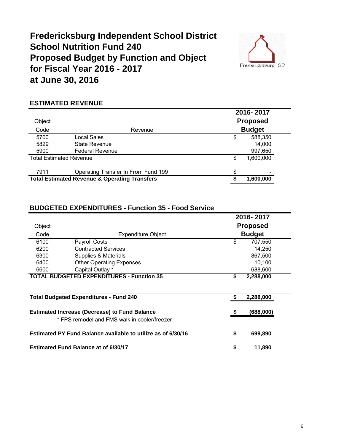### **Fredericksburg Independent School District School Nutrition Fund 240 Proposed Budget by Function and Object for Fiscal Year 2016 - 2017 at June 30, 2016**



#### **ESTIMATED REVENUE**

|                                |                                                          |    | 2016-2017       |  |
|--------------------------------|----------------------------------------------------------|----|-----------------|--|
| Object                         |                                                          |    | <b>Proposed</b> |  |
| Code                           | Revenue                                                  |    | <b>Budget</b>   |  |
| 5700                           | Local Sales                                              | \$ | 588,350         |  |
| 5829                           | State Revenue                                            |    | 14,000          |  |
| 5900                           | <b>Federal Revenue</b>                                   |    | 997,650         |  |
| <b>Total Estimated Revenue</b> |                                                          | S  | 1,600,000       |  |
| 7911                           | Operating Transfer In From Fund 199                      |    |                 |  |
|                                | <b>Total Estimated Revenue &amp; Operating Transfers</b> |    | 1,600,000       |  |

#### **BUDGETED EXPENDITURES - Function 35 - Food Service**

|        |                                                              | 2016-2017       |               |  |  |  |
|--------|--------------------------------------------------------------|-----------------|---------------|--|--|--|
| Object |                                                              | <b>Proposed</b> |               |  |  |  |
| Code   | <b>Expenditure Object</b>                                    |                 | <b>Budget</b> |  |  |  |
| 6100   | Payroll Costs                                                | \$              | 707,550       |  |  |  |
| 6200   | <b>Contracted Services</b>                                   |                 | 14,250        |  |  |  |
| 6300   | Supplies & Materials                                         |                 | 867,500       |  |  |  |
| 6400   | <b>Other Operating Expenses</b>                              |                 | 10,100        |  |  |  |
| 6600   | Capital Outlay *                                             |                 | 688,600       |  |  |  |
|        | <b>TOTAL BUDGETED EXPENDITURES - Function 35</b>             | \$              | 2,288,000     |  |  |  |
|        |                                                              |                 |               |  |  |  |
|        | <b>Total Budgeted Expenditures - Fund 240</b>                |                 | 2,288,000     |  |  |  |
|        | <b>Estimated Increase (Decrease) to Fund Balance</b>         |                 | (688,000)     |  |  |  |
|        | * FPS remodel and FMS walk in cooler/freezer                 |                 |               |  |  |  |
|        | Estimated PY Fund Balance available to utilize as of 6/30/16 | \$              | 699,890       |  |  |  |
|        | <b>Estimated Fund Balance at of 6/30/17</b>                  | \$              | 11,890        |  |  |  |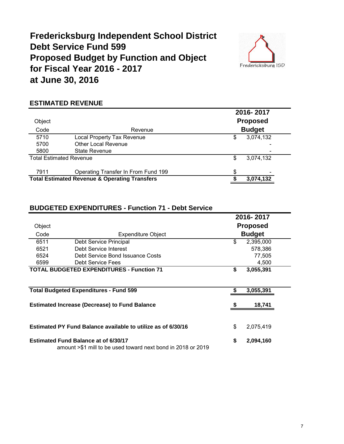### **Fredericksburg Independent School District Debt Service Fund 599 Proposed Budget by Function and Object for Fiscal Year 2016 - 2017 at June 30, 2016**



#### **ESTIMATED REVENUE**

|        |                                                          | 2016-2017 |                 |  |  |  |
|--------|----------------------------------------------------------|-----------|-----------------|--|--|--|
| Object |                                                          |           | <b>Proposed</b> |  |  |  |
| Code   | Revenue                                                  |           | <b>Budget</b>   |  |  |  |
| 5710   | <b>Local Property Tax Revenue</b>                        | \$        | 3,074,132       |  |  |  |
| 5700   | <b>Other Local Revenue</b>                               |           |                 |  |  |  |
| 5800   | State Revenue                                            |           |                 |  |  |  |
|        | <b>Total Estimated Revenue</b>                           | \$        | 3,074,132       |  |  |  |
| 7911   | Operating Transfer In From Fund 199                      | \$        |                 |  |  |  |
|        | <b>Total Estimated Revenue &amp; Operating Transfers</b> |           | 3,074,132       |  |  |  |
|        |                                                          |           |                 |  |  |  |

#### **BUDGETED EXPENDITURES - Function 71 - Debt Service**

|        |                                                                                                             | 2016-2017       |               |  |  |
|--------|-------------------------------------------------------------------------------------------------------------|-----------------|---------------|--|--|
| Object |                                                                                                             | <b>Proposed</b> |               |  |  |
| Code   | <b>Expenditure Object</b>                                                                                   |                 | <b>Budget</b> |  |  |
| 6511   | Debt Service Principal                                                                                      | \$              | 2,395,000     |  |  |
| 6521   | Debt Service Interest                                                                                       |                 | 578,386       |  |  |
| 6524   | Debt Service Bond Issuance Costs                                                                            |                 | 77,505        |  |  |
| 6599   | Debt Service Fees                                                                                           |                 | 4,500         |  |  |
|        | <b>TOTAL BUDGETED EXPENDITURES - Function 71</b>                                                            | \$              | 3,055,391     |  |  |
|        |                                                                                                             |                 |               |  |  |
|        | <b>Total Budgeted Expenditures - Fund 599</b>                                                               |                 | 3,055,391     |  |  |
|        | <b>Estimated Increase (Decrease) to Fund Balance</b>                                                        |                 | 18,741        |  |  |
|        | Estimated PY Fund Balance available to utilize as of 6/30/16                                                | \$              | 2,075,419     |  |  |
|        | <b>Estimated Fund Balance at of 6/30/17</b><br>amount >\$1 mill to be used toward next bond in 2018 or 2019 | \$              | 2,094,160     |  |  |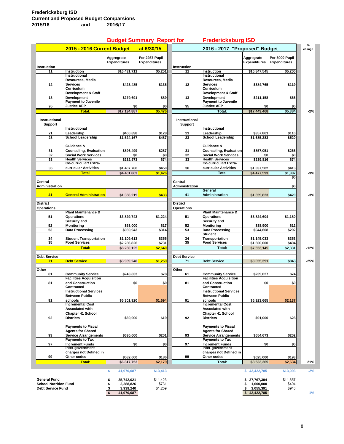|                              |                                           | <b>Budget Summary Report for</b>  |                                       |                       | <b>Fredericksburg ISD</b>          |                                   |                                       |             |
|------------------------------|-------------------------------------------|-----------------------------------|---------------------------------------|-----------------------|------------------------------------|-----------------------------------|---------------------------------------|-------------|
|                              | 2015 - 2016 Current Budget                |                                   | at 6/30/15                            |                       | 2016 - 2017 "Proposed" Budget      |                                   |                                       | %<br>change |
| <b>Instruction</b>           |                                           | Aggregrate<br><b>Expenditures</b> | Per 2937 Pupil<br><b>Expenditures</b> | Instruction           |                                    | Aggregrate<br><b>Expenditures</b> | Per 3000 Pupil<br><b>Expenditures</b> |             |
| 11                           | <b>Instruction</b>                        | \$16,431,711                      | \$5,251                               | 11                    | Instruction                        | \$16,847,545                      | \$5,200                               |             |
|                              | Instructional                             |                                   |                                       |                       | Instructional                      |                                   |                                       |             |
|                              | Resources, Media                          |                                   |                                       |                       | Resources, Media                   |                                   |                                       |             |
|                              | Services                                  | \$423,485                         | \$135                                 |                       | <b>Services</b>                    |                                   | \$119                                 |             |
| 12                           | Curriculum                                |                                   |                                       | 12                    | <b>Curriculum</b>                  | \$384,765                         |                                       |             |
|                              |                                           |                                   |                                       |                       | Development & Staff                |                                   |                                       |             |
|                              | Development & Staff                       |                                   |                                       |                       | Development                        |                                   |                                       |             |
| 13                           | Development<br><b>Payment to Juvenile</b> | \$279,691                         | \$89                                  | 13                    | <b>Payment to Juvenile</b>         | \$211,158                         | \$65                                  |             |
|                              | <b>Justice AEP</b>                        |                                   |                                       |                       | <b>Justice AEP</b>                 |                                   |                                       |             |
| 95                           |                                           | \$0                               | \$0                                   | 95                    |                                    | \$0                               | \$0                                   |             |
|                              | Total:                                    | \$17,134,887                      | \$5,476                               |                       | Total:                             | \$17,443,468                      | \$5,384                               | $-2%$       |
|                              |                                           |                                   |                                       |                       |                                    |                                   |                                       |             |
| Instructional                |                                           |                                   |                                       | Instructional         |                                    |                                   |                                       |             |
| <b>Support</b>               |                                           |                                   |                                       | <b>Support</b>        |                                    |                                   |                                       |             |
|                              | <b>Instructional</b>                      |                                   |                                       |                       | Instructional                      |                                   |                                       |             |
| 21                           | Leadership                                | \$400,838                         | \$128                                 | 21                    | Leadership                         | \$357,861                         | \$110                                 |             |
| 23                           | <b>School Leadership</b>                  | \$1,524,167                       | \$487                                 | 23                    | <b>School Leadership</b>           | \$1,685,283                       | \$520                                 |             |
|                              |                                           |                                   |                                       |                       |                                    |                                   |                                       |             |
|                              | Guidance &                                |                                   |                                       |                       | Guidance &                         |                                   |                                       |             |
| 31                           | <b>Counseling, Evaluation</b>             | \$896.499                         | \$287                                 | 31                    | <b>Counseling, Evaluation</b>      | \$857,051                         | \$265                                 |             |
| 32                           | <b>Social Work Services</b>               | \$0                               | \$0                                   | 32                    | <b>Social Work Services</b>        | \$0                               | \$0                                   |             |
| 33                           | <b>Health Services</b>                    | \$232,573                         | \$74                                  | 33                    | <b>Health Services</b>             | \$239,816                         | \$74                                  |             |
|                              | Co-curricular/ Extra-                     |                                   |                                       |                       | Co-curricular/ Extra-              |                                   |                                       |             |
| 36                           | curricular Activities                     | \$1,407,786                       | \$450                                 | 36                    | curricular Activities              | \$1,337,582                       | \$413                                 |             |
|                              | <b>Total</b>                              | \$4.461.863                       | \$1,426                               |                       | <b>Total</b>                       | \$4,477,593                       | \$1,382                               | -3%         |
|                              |                                           |                                   |                                       |                       |                                    |                                   | \$0                                   |             |
| Central                      |                                           |                                   |                                       | Central               |                                    |                                   |                                       |             |
| Administration               |                                           |                                   |                                       | <b>Administration</b> |                                    |                                   | \$0                                   |             |
|                              |                                           |                                   |                                       |                       | General                            |                                   |                                       |             |
| 41                           | <b>General Administration</b>             | \$1,356,219                       | \$433                                 | 41                    | <b>Administration</b>              | \$1,359,823                       | \$420                                 | $-3%$       |
|                              |                                           |                                   |                                       |                       |                                    |                                   |                                       |             |
| <b>District</b>              |                                           |                                   |                                       | <b>District</b>       |                                    |                                   |                                       |             |
| <b>Operations</b>            |                                           |                                   |                                       | Operations            |                                    |                                   |                                       |             |
|                              | <b>Plant Maintenance &amp;</b>            |                                   |                                       |                       | <b>Plant Maintenance &amp;</b>     |                                   |                                       |             |
| 51                           | <b>Operations</b>                         | \$3,829,743                       | \$1,224                               | 51                    | <b>Operations</b>                  | \$3,824,604                       | \$1,180                               |             |
|                              | Security and                              |                                   |                                       |                       | Security and                       |                                   |                                       |             |
| 52                           | Monitoring                                | \$53,000                          | \$17                                  | 52                    | <b>Monitoring</b>                  | \$38,900                          | \$12                                  |             |
| 53                           | Data Processing                           | \$980,943                         | \$314                                 | 53                    | Data Processing                    | \$944,608                         | \$292                                 |             |
|                              |                                           |                                   |                                       |                       | <b>Student</b>                     |                                   |                                       |             |
| 34                           | <b>Student Transportation</b>             | \$1,109,613                       | \$355                                 | 34                    | Transportation                     | \$1,145,033                       | \$353                                 |             |
| 35                           | <b>Food Services</b>                      | \$2,286,826                       | \$731                                 | 35                    | <b>Food Services</b>               | \$1,600,000                       | \$494                                 |             |
|                              | Total:                                    |                                   | \$2,640                               |                       | Total:                             |                                   |                                       |             |
|                              |                                           | \$8,260,125                       |                                       |                       |                                    | \$7,553,145                       | \$2,331                               | $-12%$      |
| Debt Service                 |                                           |                                   |                                       | <b>Debt Service</b>   |                                    |                                   |                                       |             |
| 71                           | <b>Debt Service</b>                       | \$3,939,240                       | \$1,259                               | 71                    | <b>Debt Service</b>                | \$3.055.391                       | \$943                                 | $-25%$      |
|                              |                                           |                                   |                                       |                       |                                    |                                   |                                       |             |
| Other                        |                                           |                                   |                                       | Other                 |                                    |                                   |                                       |             |
| 61                           | <b>Community Service</b>                  | \$243.833                         | \$78                                  | 61                    | <b>Community Service</b>           | \$239,027                         | \$74                                  |             |
|                              | <b>Facilities Acquisition</b>             |                                   |                                       |                       | <b>Facilities Acquisition</b>      |                                   |                                       |             |
|                              |                                           |                                   |                                       |                       |                                    |                                   |                                       |             |
| 81                           | and Construction<br>Contracted            | \$0                               | \$0                                   | 81                    | and Construction<br>Contracted     | \$0                               | \$0                                   |             |
|                              | <b>Instructional Services</b>             |                                   |                                       |                       | <b>Instructional Services</b>      |                                   |                                       |             |
|                              |                                           |                                   |                                       |                       |                                    |                                   |                                       |             |
|                              | <b>Between Public</b>                     |                                   |                                       |                       | <b>Between Public</b>              |                                   |                                       |             |
| 91                           | schools<br><b>Incremental Cost</b>        | \$5,301,920                       | \$1,694                               | 91                    | schools<br><b>Incremental Cost</b> | \$6,923,665                       | \$2,137                               |             |
|                              | Associated with                           |                                   |                                       |                       | Associated with                    |                                   |                                       |             |
|                              |                                           |                                   |                                       |                       |                                    |                                   |                                       |             |
|                              | <b>Chapter 41 School</b>                  |                                   |                                       |                       | <b>Chapter 41 School</b>           |                                   |                                       |             |
| 92                           | <b>Districts</b>                          | \$60,000                          | \$19                                  | 92                    | <b>Districts</b>                   | \$91,000                          | \$28                                  |             |
|                              |                                           |                                   |                                       |                       |                                    |                                   |                                       |             |
|                              | <b>Payments to Fiscal</b>                 |                                   |                                       |                       | <b>Payments to Fiscal</b>          |                                   |                                       |             |
|                              | <b>Agents for Shared</b>                  |                                   |                                       |                       | <b>Agents for Shared</b>           |                                   |                                       |             |
| 93                           | <b>Service Arrangements</b>               | \$630,000                         | \$201                                 | 93                    | <b>Service Arrangements</b>        | \$654,673                         | \$202                                 |             |
|                              | <b>Payments to Tax</b>                    |                                   |                                       |                       | <b>Payments to Tax</b>             |                                   |                                       |             |
| 97                           | <b>Increment Funds</b>                    | \$0                               | \$0                                   | 97                    | <b>Increment Funds</b>             | \$0                               | \$0                                   |             |
|                              | Inter-government                          |                                   |                                       |                       | Inter-government                   |                                   |                                       |             |
|                              | charges not Defined in                    |                                   |                                       |                       | charges not Defined in             |                                   |                                       |             |
| 99                           | Other codes                               | \$582,000                         | \$186                                 | 99                    | Other codes                        | \$625,000                         | \$193                                 |             |
|                              | Total:                                    | \$6,817,753                       | \$2,179                               |                       | Total:                             | \$8,533,365                       | \$2,634                               | 21%         |
|                              |                                           |                                   |                                       |                       |                                    |                                   |                                       |             |
|                              |                                           | \$<br>41,970,087                  | \$13,413                              |                       |                                    | \$42,422,785                      | \$13,093                              | $-2%$       |
|                              |                                           |                                   |                                       |                       |                                    |                                   |                                       |             |
| <b>General Fund</b>          |                                           | \$<br>35,742,021                  | \$11,423                              |                       |                                    | 37,767,394                        | \$11,657                              |             |
| <b>School Nutrition Fund</b> |                                           | \$<br>2,288,826                   | \$731                                 |                       |                                    | 1,600,000<br>S                    | \$494                                 |             |
| <b>Debt Service Fund</b>     |                                           | 3,939,240<br>\$                   | \$1,259                               |                       |                                    | 3,055,391                         | \$943                                 |             |
|                              |                                           | \$<br>41,970,087                  |                                       |                       |                                    | \$42,422,785                      |                                       | $1\%$       |